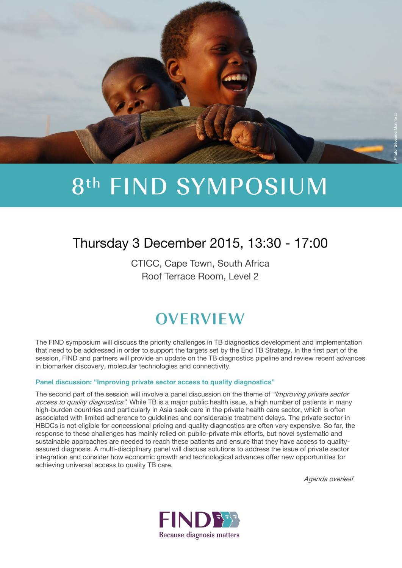

# 8th FIND SYMPOSIUM

## Thursday 3 December 2015, 13:30 - 17:00

CTICC, Cape Town, South Africa Roof Terrace Room, Level 2

## **OVERVIEW**

The FIND symposium will discuss the priority challenges in TB diagnostics development and implementation that need to be addressed in order to support the targets set by the End TB Strategy. In the first part of the session, FIND and partners will provide an update on the TB diagnostics pipeline and review recent advances in biomarker discovery, molecular technologies and connectivity.

#### **Panel discussion: "Improving private sector access to quality diagnostics"**

The second part of the session will involve a panel discussion on the theme of "Improving private sector" access to quality diagnostics". While TB is a major public health issue, a high number of patients in many high-burden countries and particularly in Asia seek care in the private health care sector, which is often associated with limited adherence to guidelines and considerable treatment delays. The private sector in HBDCs is not eligible for concessional pricing and quality diagnostics are often very expensive. So far, the response to these challenges has mainly relied on public-private mix efforts, but novel systematic and sustainable approaches are needed to reach these patients and ensure that they have access to qualityassured diagnosis. A multi-disciplinary panel will discuss solutions to address the issue of private sector integration and consider how economic growth and technological advances offer new opportunities for achieving universal access to quality TB care.

Agenda overleaf